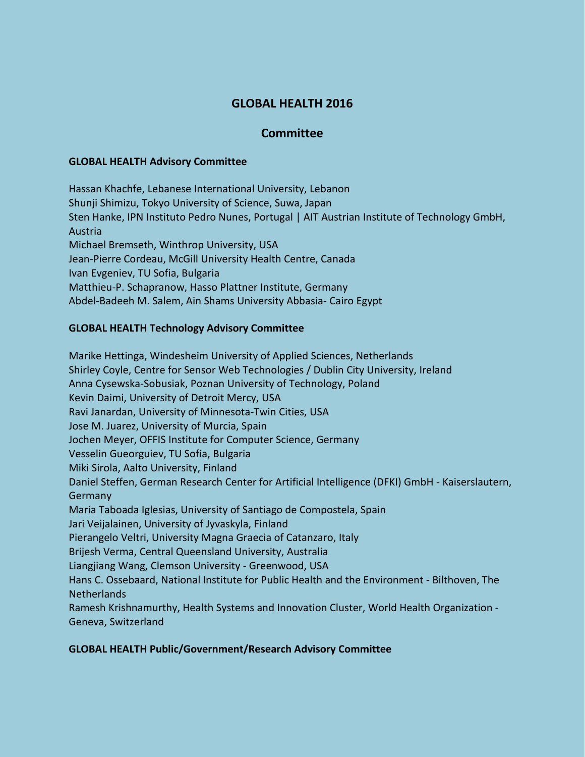# **GLOBAL HEALTH 2016**

## **Committee**

#### **GLOBAL HEALTH Advisory Committee**

Hassan Khachfe, Lebanese International University, Lebanon Shunji Shimizu, Tokyo University of Science, Suwa, Japan Sten Hanke, IPN Instituto Pedro Nunes, Portugal | AIT Austrian Institute of Technology GmbH, Austria Michael Bremseth, Winthrop University, USA Jean-Pierre Cordeau, McGill University Health Centre, Canada Ivan Evgeniev, TU Sofia, Bulgaria Matthieu-P. Schapranow, Hasso Plattner Institute, Germany Abdel-Badeeh M. Salem, Ain Shams University Abbasia- Cairo Egypt

### **GLOBAL HEALTH Technology Advisory Committee**

Marike Hettinga, Windesheim University of Applied Sciences, Netherlands Shirley Coyle, Centre for Sensor Web Technologies / Dublin City University, Ireland Anna Cysewska-Sobusiak, Poznan University of Technology, Poland Kevin Daimi, University of Detroit Mercy, USA Ravi Janardan, University of Minnesota-Twin Cities, USA Jose M. Juarez, University of Murcia, Spain Jochen Meyer, OFFIS Institute for Computer Science, Germany Vesselin Gueorguiev, TU Sofia, Bulgaria Miki Sirola, Aalto University, Finland Daniel Steffen, German Research Center for Artificial Intelligence (DFKI) GmbH - Kaiserslautern, Germany Maria Taboada Iglesias, University of Santiago de Compostela, Spain Jari Veijalainen, University of Jyvaskyla, Finland Pierangelo Veltri, University Magna Graecia of Catanzaro, Italy Brijesh Verma, Central Queensland University, Australia Liangjiang Wang, Clemson University - Greenwood, USA Hans C. Ossebaard, National Institute for Public Health and the Environment - Bilthoven, The **Netherlands** Ramesh Krishnamurthy, Health Systems and Innovation Cluster, World Health Organization - Geneva, Switzerland

### **GLOBAL HEALTH Public/Government/Research Advisory Committee**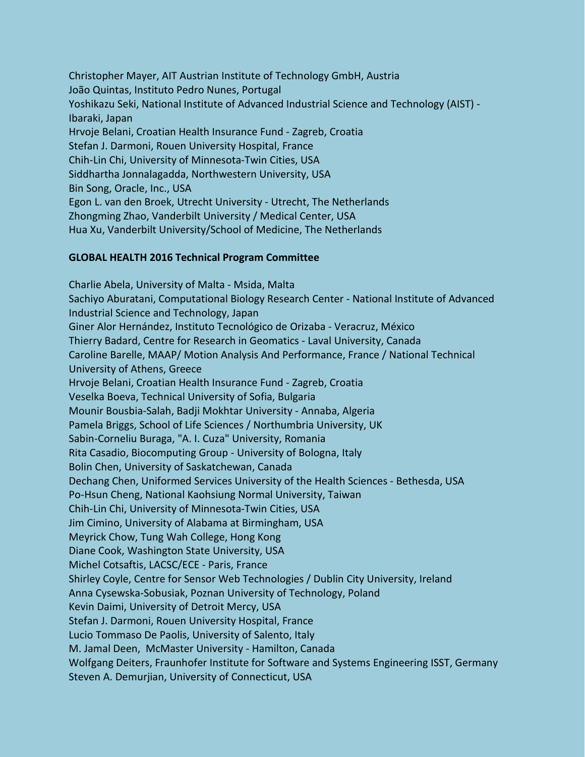Christopher Mayer, AIT Austrian Institute of Technology GmbH, Austria João Quintas, Instituto Pedro Nunes, Portugal Yoshikazu Seki, National Institute of Advanced Industrial Science and Technology (AIST) - Ibaraki, Japan Hrvoje Belani, Croatian Health Insurance Fund - Zagreb, Croatia Stefan J. Darmoni, Rouen University Hospital, France Chih-Lin Chi, University of Minnesota-Twin Cities, USA Siddhartha Jonnalagadda, Northwestern University, USA Bin Song, Oracle, Inc., USA Egon L. van den Broek, Utrecht University - Utrecht, The Netherlands Zhongming Zhao, Vanderbilt University / Medical Center, USA Hua Xu, Vanderbilt University/School of Medicine, The Netherlands

### **GLOBAL HEALTH 2016 Technical Program Committee**

Charlie Abela, University of Malta - Msida, Malta Sachiyo Aburatani, Computational Biology Research Center - National Institute of Advanced Industrial Science and Technology, Japan Giner Alor Hernández, Instituto Tecnológico de Orizaba - Veracruz, México Thierry Badard, Centre for Research in Geomatics - Laval University, Canada Caroline Barelle, MAAP/ Motion Analysis And Performance, France / National Technical University of Athens, Greece Hrvoje Belani, Croatian Health Insurance Fund - Zagreb, Croatia Veselka Boeva, Technical University of Sofia, Bulgaria Mounir Bousbia-Salah, Badji Mokhtar University - Annaba, Algeria Pamela Briggs, School of Life Sciences / Northumbria University, UK Sabin-Corneliu Buraga, "A. I. Cuza" University, Romania Rita Casadio, Biocomputing Group - University of Bologna, Italy Bolin Chen, University of Saskatchewan, Canada Dechang Chen, Uniformed Services University of the Health Sciences - Bethesda, USA Po-Hsun Cheng, National Kaohsiung Normal University, Taiwan Chih-Lin Chi, University of Minnesota-Twin Cities, USA Jim Cimino, University of Alabama at Birmingham, USA Meyrick Chow, Tung Wah College, Hong Kong Diane Cook, Washington State University, USA Michel Cotsaftis, LACSC/ECE - Paris, France Shirley Coyle, Centre for Sensor Web Technologies / Dublin City University, Ireland Anna Cysewska-Sobusiak, Poznan University of Technology, Poland Kevin Daimi, University of Detroit Mercy, USA Stefan J. Darmoni, Rouen University Hospital, France Lucio Tommaso De Paolis, University of Salento, Italy M. Jamal Deen, McMaster University - Hamilton, Canada Wolfgang Deiters, Fraunhofer Institute for Software and Systems Engineering ISST, Germany Steven A. Demurjian, University of Connecticut, USA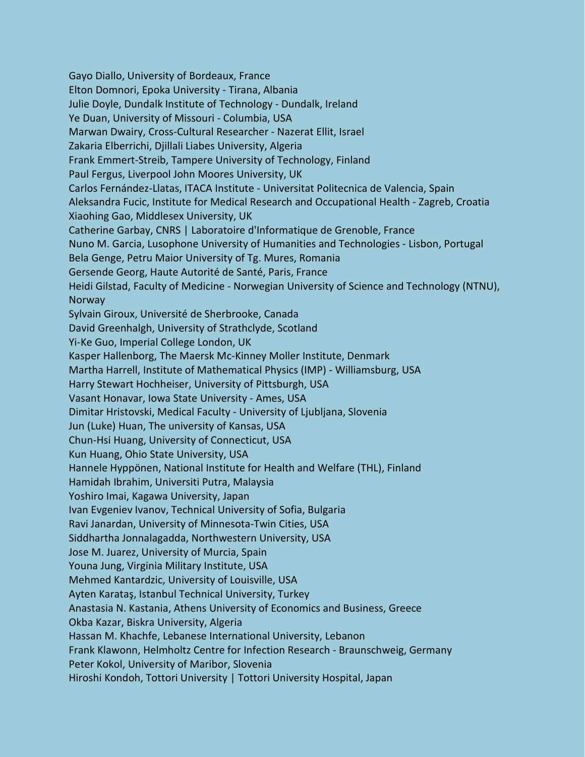Gayo Diallo, University of Bordeaux, France Elton Domnori, Epoka University - Tirana, Albania Julie Doyle, Dundalk Institute of Technology - Dundalk, Ireland Ye Duan, University of Missouri - Columbia, USA Marwan Dwairy, Cross-Cultural Researcher - Nazerat Ellit, Israel Zakaria Elberrichi, Djillali Liabes University, Algeria Frank Emmert-Streib, Tampere University of Technology, Finland Paul Fergus, Liverpool John Moores University, UK Carlos Fernández-Llatas, ITACA Institute - Universitat Politecnica de Valencia, Spain Aleksandra Fucic, Institute for Medical Research and Occupational Health - Zagreb, Croatia Xiaohing Gao, Middlesex University, UK Catherine Garbay, CNRS | Laboratoire d'Informatique de Grenoble, France Nuno M. Garcia, Lusophone University of Humanities and Technologies - Lisbon, Portugal Bela Genge, Petru Maior University of Tg. Mures, Romania Gersende Georg, Haute Autorité de Santé, Paris, France Heidi Gilstad, Faculty of Medicine - Norwegian University of Science and Technology (NTNU), Norway Sylvain Giroux, Université de Sherbrooke, Canada David Greenhalgh, University of Strathclyde, Scotland Yi-Ke Guo, Imperial College London, UK Kasper Hallenborg, The Maersk Mc-Kinney Moller Institute, Denmark Martha Harrell, Institute of Mathematical Physics (IMP) - Williamsburg, USA Harry Stewart Hochheiser, University of Pittsburgh, USA Vasant Honavar, Iowa State University - Ames, USA Dimitar Hristovski, Medical Faculty - University of Ljubljana, Slovenia Jun (Luke) Huan, The university of Kansas, USA Chun-Hsi Huang, University of Connecticut, USA Kun Huang, Ohio State University, USA Hannele Hyppönen, National Institute for Health and Welfare (THL), Finland Hamidah Ibrahim, Universiti Putra, Malaysia Yoshiro Imai, Kagawa University, Japan Ivan Evgeniev Ivanov, Technical University of Sofia, Bulgaria Ravi Janardan, University of Minnesota-Twin Cities, USA Siddhartha Jonnalagadda, Northwestern University, USA Jose M. Juarez, University of Murcia, Spain Youna Jung, Virginia Military Institute, USA Mehmed Kantardzic, University of Louisville, USA Ayten Karataş, Istanbul Technical University, Turkey Anastasia N. Kastania, Athens University of Economics and Business, Greece Okba Kazar, Biskra University, Algeria Hassan M. Khachfe, Lebanese International University, Lebanon Frank Klawonn, Helmholtz Centre for Infection Research - Braunschweig, Germany Peter Kokol, University of Maribor, Slovenia Hiroshi Kondoh, Tottori University | Tottori University Hospital, Japan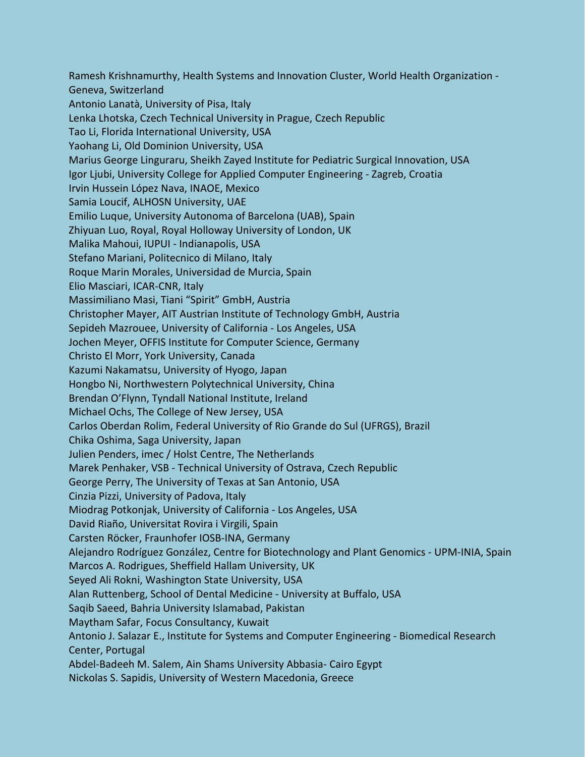Ramesh Krishnamurthy, Health Systems and Innovation Cluster, World Health Organization - Geneva, Switzerland Antonio Lanatà, University of Pisa, Italy Lenka Lhotska, Czech Technical University in Prague, Czech Republic Tao Li, Florida International University, USA Yaohang Li, Old Dominion University, USA Marius George Linguraru, Sheikh Zayed Institute for Pediatric Surgical Innovation, USA Igor Ljubi, University College for Applied Computer Engineering - Zagreb, Croatia Irvin Hussein López Nava, INAOE, Mexico Samia Loucif, ALHOSN University, UAE Emilio Luque, University Autonoma of Barcelona (UAB), Spain Zhiyuan Luo, Royal, Royal Holloway University of London, UK Malika Mahoui, IUPUI - Indianapolis, USA Stefano Mariani, Politecnico di Milano, Italy Roque Marin Morales, Universidad de Murcia, Spain Elio Masciari, ICAR-CNR, Italy Massimiliano Masi, Tiani "Spirit" GmbH, Austria Christopher Mayer, AIT Austrian Institute of Technology GmbH, Austria Sepideh Mazrouee, University of California - Los Angeles, USA Jochen Meyer, OFFIS Institute for Computer Science, Germany Christo El Morr, York University, Canada Kazumi Nakamatsu, University of Hyogo, Japan Hongbo Ni, Northwestern Polytechnical University, China Brendan O'Flynn, Tyndall National Institute, Ireland Michael Ochs, The College of New Jersey, USA Carlos Oberdan Rolim, Federal University of Rio Grande do Sul (UFRGS), Brazil Chika Oshima, Saga University, Japan Julien Penders, imec / Holst Centre, The Netherlands Marek Penhaker, VSB - Technical University of Ostrava, Czech Republic George Perry, The University of Texas at San Antonio, USA Cinzia Pizzi, University of Padova, Italy Miodrag Potkonjak, University of California - Los Angeles, USA David Riaño, Universitat Rovira i Virgili, Spain Carsten Röcker, Fraunhofer IOSB-INA, Germany Alejandro Rodríguez González, Centre for Biotechnology and Plant Genomics - UPM-INIA, Spain Marcos A. Rodrigues, Sheffield Hallam University, UK Seyed Ali Rokni, Washington State University, USA Alan Ruttenberg, School of Dental Medicine - University at Buffalo, USA Saqib Saeed, Bahria University Islamabad, Pakistan Maytham Safar, Focus Consultancy, Kuwait Antonio J. Salazar E., Institute for Systems and Computer Engineering - Biomedical Research Center, Portugal Abdel-Badeeh M. Salem, Ain Shams University Abbasia- Cairo Egypt Nickolas S. Sapidis, University of Western Macedonia, Greece